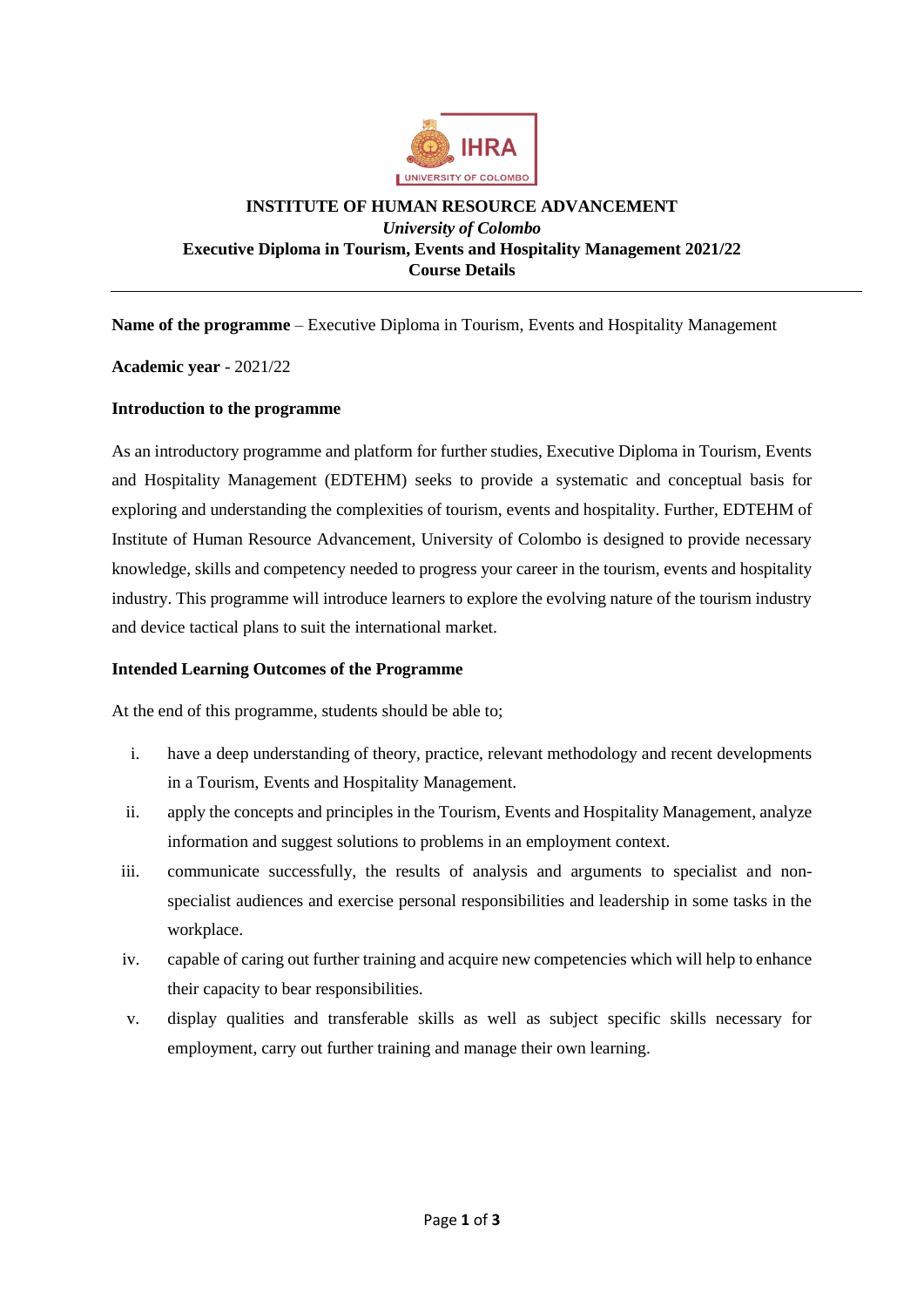

#### **INSTITUTE OF HUMAN RESOURCE ADVANCEMENT** *University of Colombo* **Executive Diploma in Tourism, Events and Hospitality Management 2021/22 Course Details**

**Name of the programme** – Executive Diploma in Tourism, Events and Hospitality Management

**Academic year** - 2021/22

#### **Introduction to the programme**

As an introductory programme and platform for further studies, Executive Diploma in Tourism, Events and Hospitality Management (EDTEHM) seeks to provide a systematic and conceptual basis for exploring and understanding the complexities of tourism, events and hospitality. Further, EDTEHM of Institute of Human Resource Advancement, University of Colombo is designed to provide necessary knowledge, skills and competency needed to progress your career in the tourism, events and hospitality industry. This programme will introduce learners to explore the evolving nature of the tourism industry and device tactical plans to suit the international market.

#### **Intended Learning Outcomes of the Programme**

At the end of this programme, students should be able to;

- i. have a deep understanding of theory, practice, relevant methodology and recent developments in a Tourism, Events and Hospitality Management.
- ii. apply the concepts and principles in the Tourism, Events and Hospitality Management, analyze information and suggest solutions to problems in an employment context.
- iii. communicate successfully, the results of analysis and arguments to specialist and nonspecialist audiences and exercise personal responsibilities and leadership in some tasks in the workplace.
- iv. capable of caring out further training and acquire new competencies which will help to enhance their capacity to bear responsibilities.
- v. display qualities and transferable skills as well as subject specific skills necessary for employment, carry out further training and manage their own learning.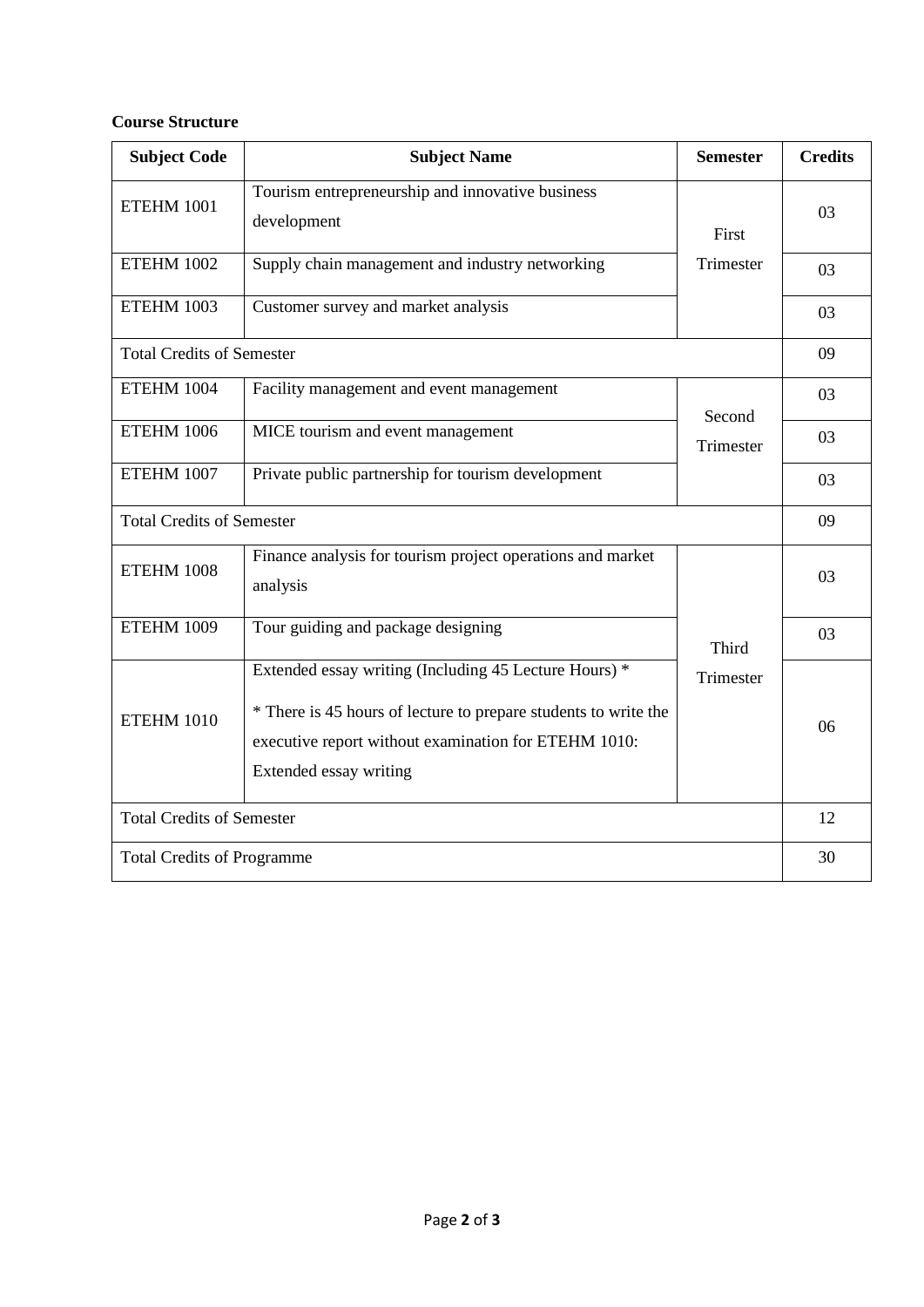# **Course Structure**

| <b>Subject Code</b>               | <b>Subject Name</b>                                                                                                                                                                                        | <b>Semester</b>     | <b>Credits</b> |
|-----------------------------------|------------------------------------------------------------------------------------------------------------------------------------------------------------------------------------------------------------|---------------------|----------------|
| <b>ETEHM 1001</b>                 | Tourism entrepreneurship and innovative business<br>development                                                                                                                                            | First               | 03             |
| <b>ETEHM 1002</b>                 | Supply chain management and industry networking                                                                                                                                                            | Trimester           | 03             |
| <b>ETEHM 1003</b>                 | Customer survey and market analysis                                                                                                                                                                        |                     | 03             |
| <b>Total Credits of Semester</b>  |                                                                                                                                                                                                            |                     |                |
| ETEHM 1004                        | Facility management and event management                                                                                                                                                                   | Second<br>Trimester | 03             |
| ETEHM 1006                        | MICE tourism and event management                                                                                                                                                                          |                     | 03             |
| ETEHM 1007                        | Private public partnership for tourism development                                                                                                                                                         |                     | 03             |
| <b>Total Credits of Semester</b>  |                                                                                                                                                                                                            |                     |                |
| ETEHM 1008                        | Finance analysis for tourism project operations and market<br>analysis                                                                                                                                     | Third<br>Trimester  | 03             |
| <b>ETEHM 1009</b>                 | Tour guiding and package designing                                                                                                                                                                         |                     | 03             |
| ETEHM 1010                        | Extended essay writing (Including 45 Lecture Hours) *<br>* There is 45 hours of lecture to prepare students to write the<br>executive report without examination for ETEHM 1010:<br>Extended essay writing |                     | 06             |
| <b>Total Credits of Semester</b>  |                                                                                                                                                                                                            |                     |                |
| <b>Total Credits of Programme</b> |                                                                                                                                                                                                            |                     | 30             |